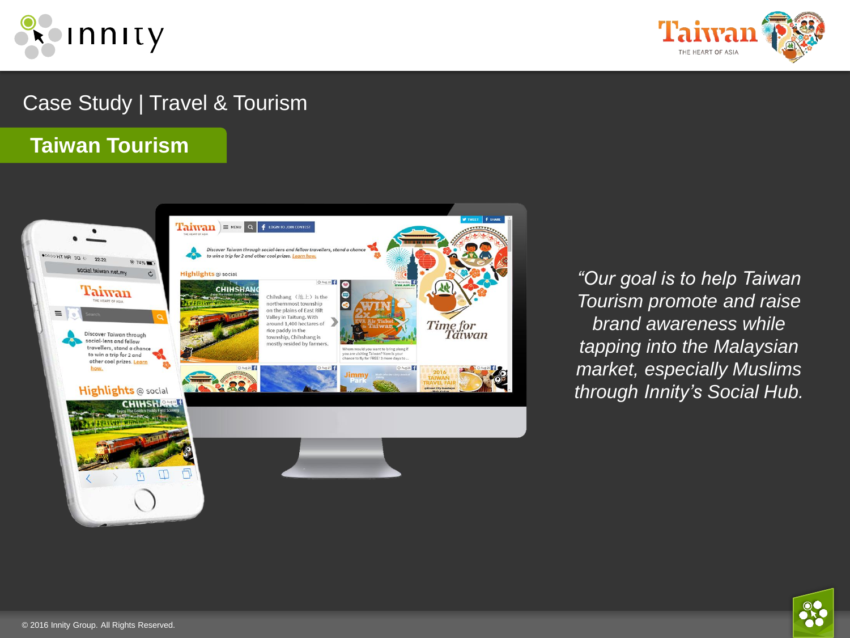



# Case Study | Travel & Tourism

## **Taiwan Tourism**



*"Our goal is to help Taiwan Tourism promote and raise brand awareness while tapping into the Malaysian market, especially Muslims through Innity's Social Hub.*

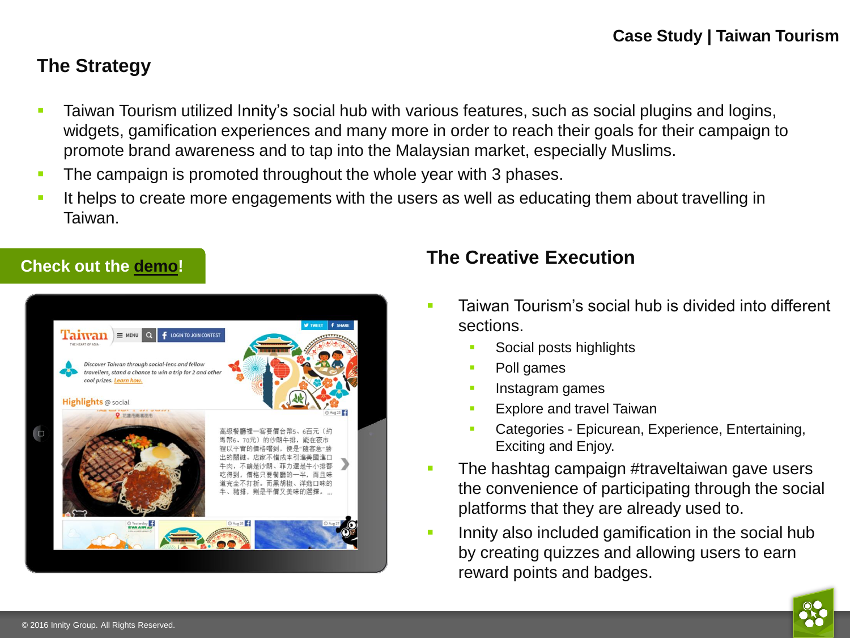## **The Strategy**

- **Taiwan Tourism utilized Innity's social hub with various features, such as social plugins and logins,** widgets, gamification experiences and many more in order to reach their goals for their campaign to promote brand awareness and to tap into the Malaysian market, especially Muslims.
- The campaign is promoted throughout the whole year with 3 phases.
- It helps to create more engagements with the users as well as educating them about travelling in Taiwan.



## **The Creative Execution**

- Taiwan Tourism's social hub is divided into different sections.
	- Social posts highlights
	- Poll games
	- **Instagram games**
	- Explore and travel Taiwan
	- Categories Epicurean, Experience, Entertaining, Exciting and Enjoy.
- The hashtag campaign #traveltaiwan gave users the convenience of participating through the social platforms that they are already used to.
- Innity also included gamification in the social hub by creating quizzes and allowing users to earn reward points and badges.

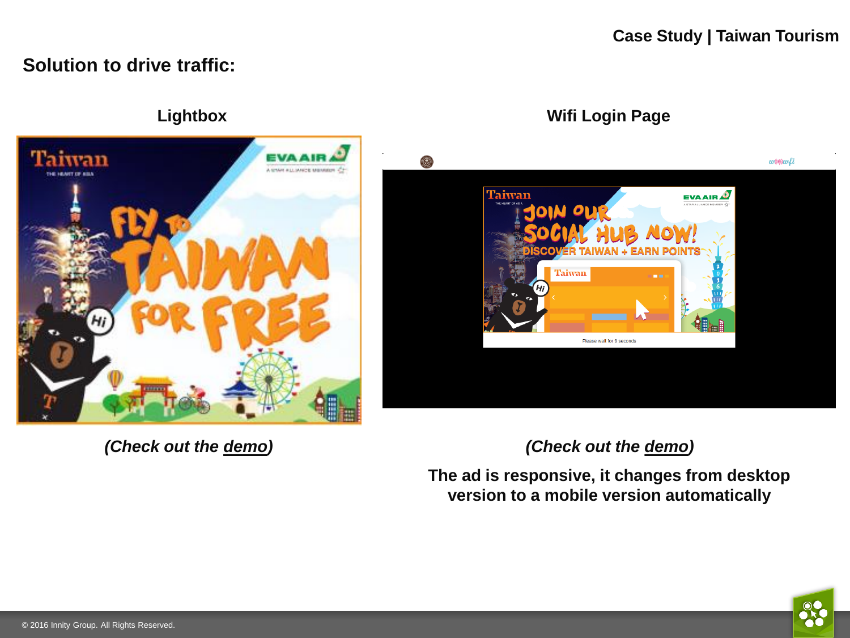### **Solution to drive traffic:**





*(Check out the [demo\)](http://staging.innity-asia.com/m4/2016/my/tw_tourism_sept/iab_eng/index_wsky.html)*

*(Check out the [demo](http://staging.innity-asia.com/m4/2016/wowfi/tw_v2/dlogin.html))*

**The ad is responsive, it changes from desktop version to a mobile version automatically**

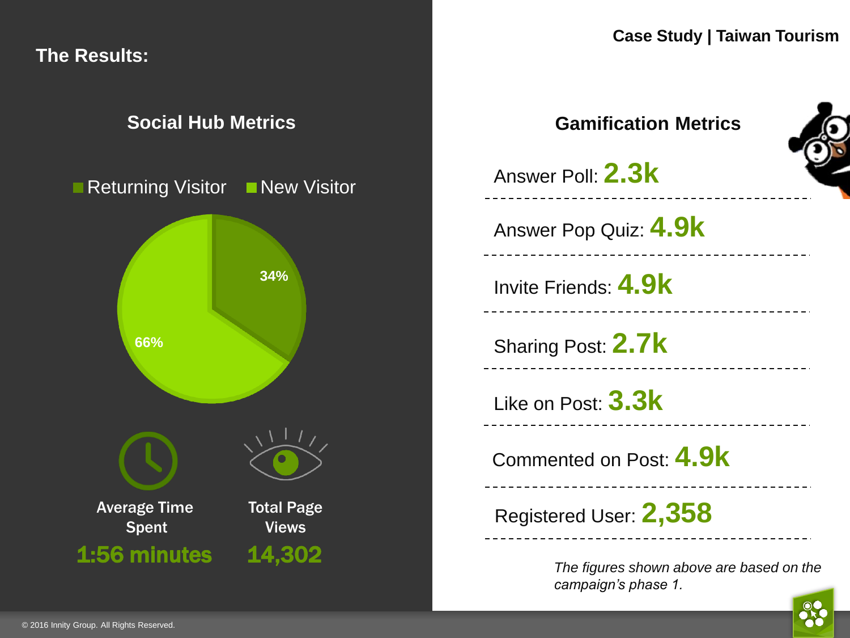**The Results:**

## **Social Hub Metrics**





**Case Study | Taiwan Tourism**